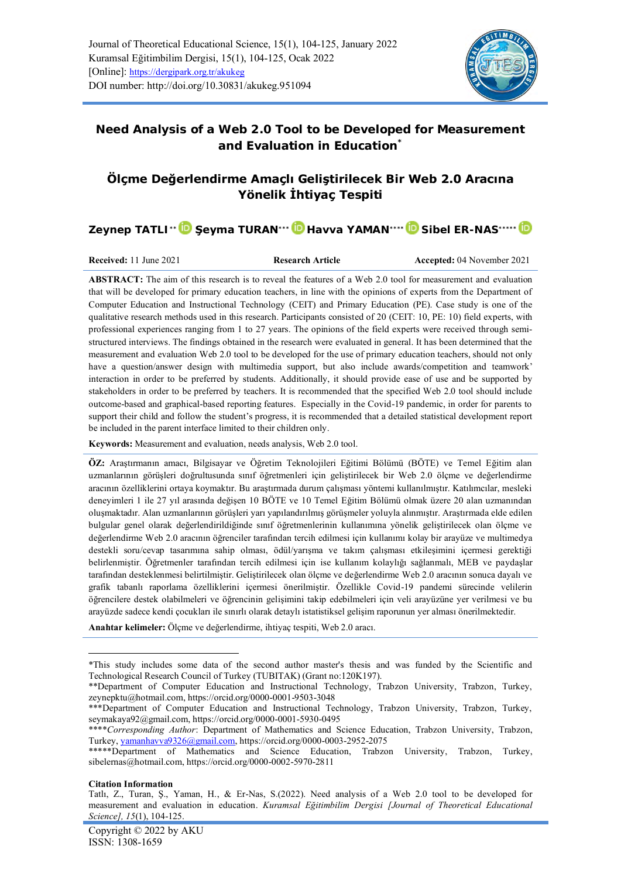

# **Need Analysis of a Web 2.0 Tool to be Developed for Measurement and Evaluation in Education\***

# **Ölçme Değerlendirme Amaçlı Geliştirilecek Bir Web 2.0 Aracına Yönelik İhtiyaç Tespiti**

**Zeynep TATLI\*[\\*](https://orcid.org/0000-0001-9503-3048) Şeyma TURAN\*\*[\\*](https://orcid.org/0000-0001-5930-0495) Havva YAMAN\*\*\*[\\*](https://orcid.org/0000-0003-2952-2075) Sibel ER-NAS\*\*\*\*[\\*](https://orcid.org/0000-0002-5970-2811)**

**Received:** 11 June 2021 **Research Article Accepted:** 04 November 2021

**ABSTRACT:** The aim of this research is to reveal the features of a Web 2.0 tool for measurement and evaluation that will be developed for primary education teachers, in line with the opinions of experts from the Department of Computer Education and Instructional Technology (CEIT) and Primary Education (PE). Case study is one of the qualitative research methods used in this research. Participants consisted of 20 (CEIT: 10, PE: 10) field experts, with professional experiences ranging from 1 to 27 years. The opinions of the field experts were received through semistructured interviews. The findings obtained in the research were evaluated in general. It has been determined that the measurement and evaluation Web 2.0 tool to be developed for the use of primary education teachers, should not only have a question/answer design with multimedia support, but also include awards/competition and teamwork' interaction in order to be preferred by students. Additionally, it should provide ease of use and be supported by stakeholders in order to be preferred by teachers. It is recommended that the specified Web 2.0 tool should include outcome-based and graphical-based reporting features. Especially in the Covid-19 pandemic, in order for parents to support their child and follow the student's progress, it is recommended that a detailed statistical development report be included in the parent interface limited to their children only.

**Keywords:** Measurement and evaluation, needs analysis, Web 2.0 tool.

**ÖZ:** Araştırmanın amacı, Bilgisayar ve Öğretim Teknolojileri Eğitimi Bölümü (BÖTE) ve Temel Eğitim alan uzmanlarının görüşleri doğrultusunda sınıf öğretmenleri için geliştirilecek bir Web 2.0 ölçme ve değerlendirme aracının özelliklerini ortaya koymaktır. Bu araştırmada durum çalışması yöntemi kullanılmıştır. Katılımcılar, mesleki deneyimleri 1 ile 27 yıl arasında değişen 10 BÖTE ve 10 Temel Eğitim Bölümü olmak üzere 20 alan uzmanından oluşmaktadır. Alan uzmanlarının görüşleri yarı yapılandırılmış görüşmeler yoluyla alınmıştır. Araştırmada elde edilen bulgular genel olarak değerlendirildiğinde sınıf öğretmenlerinin kullanımına yönelik geliştirilecek olan ölçme ve değerlendirme Web 2.0 aracının öğrenciler tarafından tercih edilmesi için kullanımı kolay bir arayüze ve multimedya destekli soru/cevap tasarımına sahip olması, ödül/yarışma ve takım çalışması etkileşimini içermesi gerektiği belirlenmiştir. Öğretmenler tarafından tercih edilmesi için ise kullanım kolaylığı sağlanmalı, MEB ve paydaşlar tarafından desteklenmesi belirtilmiştir. Geliştirilecek olan ölçme ve değerlendirme Web 2.0 aracının sonuca dayalı ve grafik tabanlı raporlama özelliklerini içermesi önerilmiştir. Özellikle Covid-19 pandemi sürecinde velilerin öğrencilere destek olabilmeleri ve öğrencinin gelişimini takip edebilmeleri için veli arayüzüne yer verilmesi ve bu arayüzde sadece kendi çocukları ile sınırlı olarak detaylı istatistiksel gelişim raporunun yer alması önerilmektedir.

**Anahtar kelimeler:** Ölçme ve değerlendirme, ihtiyaç tespiti, Web 2.0 aracı.

**Citation Information**

<sup>\*</sup>This study includes some data of the second author master's thesis and was funded by the Scientific and Technological Research Council of Turkey (TUBITAK) (Grant no:120K197).

<sup>\*\*</sup>Department of Computer Education and Instructional Technology, Trabzon University, Trabzon, Turkey, [zeynepktu@hotmail.com,](mailto:zeynepktu@hotmail.com) <https://orcid.org/0000-0001-9503-3048>

<sup>\*\*\*</sup>Department of Computer Education and Instructional Technology, Trabzon University, Trabzon, Turkey, seymakaya92@gmail.com, https://orcid.org/0000-0001-5930-0495

<sup>\*\*\*\*</sup>*Corresponding Author*: Department of Mathematics and Science Education, Trabzon University, Trabzon, Turkey[, yamanhavva9326@gmail.com,](mailto:yamanhavva9326@gmail.com) <https://orcid.org/0000-0003-2952-2075>

<sup>\*\*\*\*\*</sup>Department of Mathematics and Science Education, Trabzon University, Trabzon, Turkey, [sibelernas@hotmail.com,](mailto:sibelernas@hotmail.com)<https://orcid.org/0000-0002-5970-2811>

Tatlı, Z., Turan, Ş., Yaman, H., & Er-Nas, S.(2022). Need analysis of a Web 2.0 tool to be developed for measurement and evaluation in education. *Kuramsal Eğitimbilim Dergisi [Journal of Theoretical Educational Science], 15*(1), 104-125.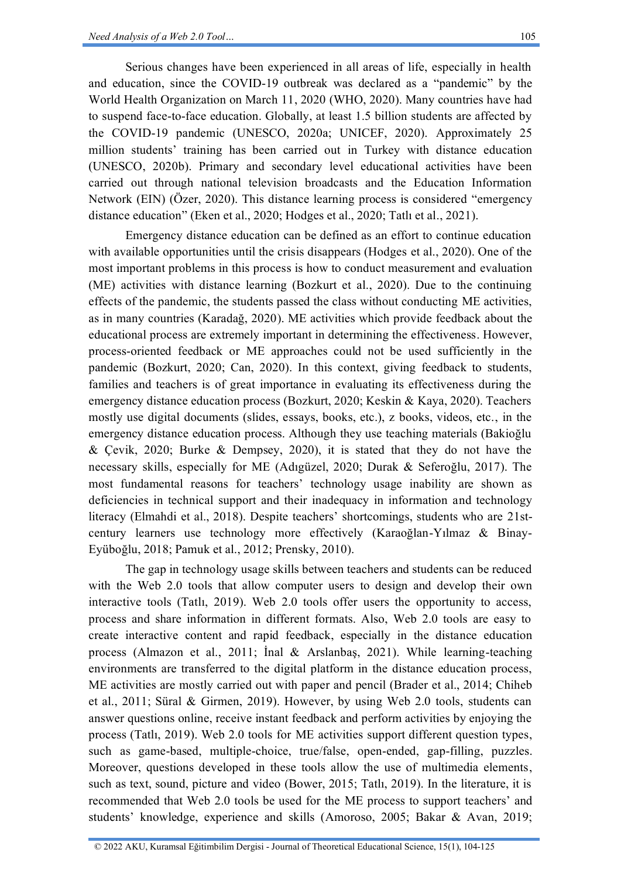Serious changes have been experienced in all areas of life, especially in health and education, since the COVID-19 outbreak was declared as a "pandemic" by the World Health Organization on March 11, 2020 (WHO, 2020). Many countries have had to suspend face-to-face education. Globally, at least 1.5 billion students are affected by the COVID-19 pandemic (UNESCO, 2020a; UNICEF, 2020). Approximately 25 million students' training has been carried out in Turkey with distance education (UNESCO, 2020b). Primary and secondary level educational activities have been carried out through national television broadcasts and the Education Information Network (EIN) (Özer, 2020). This distance learning process is considered "emergency distance education" (Eken et al., 2020; Hodges et al., 2020; Tatlı et al., 2021).

Emergency distance education can be defined as an effort to continue education with available opportunities until the crisis disappears (Hodges et al., 2020). One of the most important problems in this process is how to conduct measurement and evaluation (ME) activities with distance learning (Bozkurt et al., 2020). Due to the continuing effects of the pandemic, the students passed the class without conducting ME activities, as in many countries (Karadağ, 2020). ME activities which provide feedback about the educational process are extremely important in determining the effectiveness. However, process-oriented feedback or ME approaches could not be used sufficiently in the pandemic (Bozkurt, 2020; Can, 2020). In this context, giving feedback to students, families and teachers is of great importance in evaluating its effectiveness during the emergency distance education process (Bozkurt, 2020; Keskin & Kaya, 2020). Teachers mostly use digital documents (slides, essays, books, etc.), z books, videos, etc., in the emergency distance education process. Although they use teaching materials (Bakioğlu & Çevik, 2020; Burke & Dempsey, 2020), it is stated that they do not have the necessary skills, especially for ME (Adıgüzel, 2020; Durak & Seferoğlu, 2017). The most fundamental reasons for teachers' technology usage inability are shown as deficiencies in technical support and their inadequacy in information and technology literacy (Elmahdi et al., 2018). Despite teachers' shortcomings, students who are 21stcentury learners use technology more effectively (Karaoğlan-Yılmaz & Binay-Eyüboğlu, 2018; Pamuk et al., 2012; Prensky, 2010).

The gap in technology usage skills between teachers and students can be reduced with the Web 2.0 tools that allow computer users to design and develop their own interactive tools (Tatlı, 2019). Web 2.0 tools offer users the opportunity to access, process and share information in different formats. Also, Web 2.0 tools are easy to create interactive content and rapid feedback, especially in the distance education process (Almazon et al., 2011; İnal & Arslanbaş, 2021). While learning-teaching environments are transferred to the digital platform in the distance education process, ME activities are mostly carried out with paper and pencil (Brader et al., 2014; Chiheb et al., 2011; Süral & Girmen, 2019). However, by using Web 2.0 tools, students can answer questions online, receive instant feedback and perform activities by enjoying the process (Tatlı, 2019). Web 2.0 tools for ME activities support different question types, such as game-based, multiple-choice, true/false, open-ended, gap-filling, puzzles. Moreover, questions developed in these tools allow the use of multimedia elements, such as text, sound, picture and video (Bower, 2015; Tatlı, 2019). In the literature, it is recommended that Web 2.0 tools be used for the ME process to support teachers' and students' knowledge, experience and skills (Amoroso, 2005; Bakar & Avan, 2019;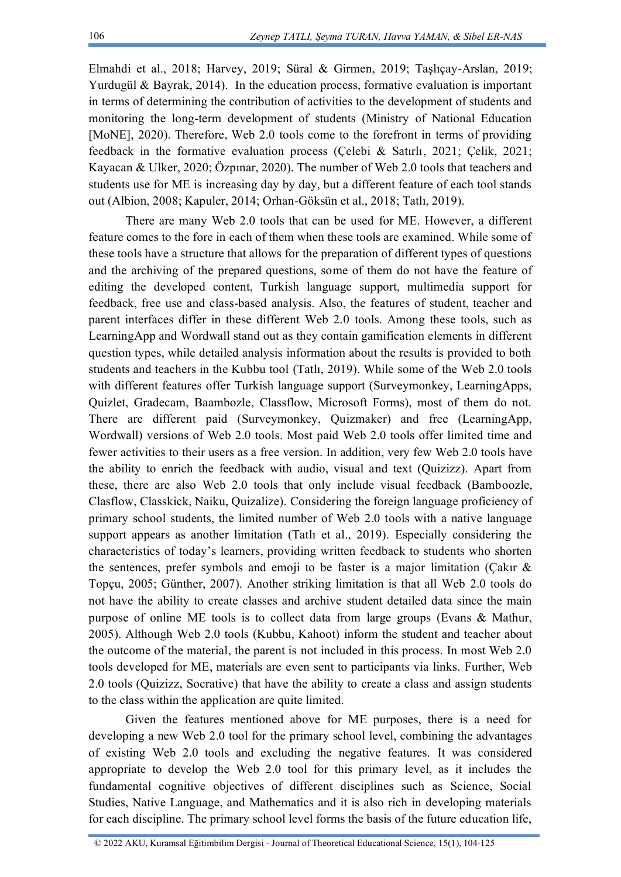Elmahdi et al., 2018; Harvey, 2019; Süral & Girmen, 2019; Taşlıçay-Arslan, 2019; Yurdugül & Bayrak, 2014). In the education process, formative evaluation is important in terms of determining the contribution of activities to the development of students and monitoring the long-term development of students (Ministry of National Education [MoNE], 2020). Therefore, Web 2.0 tools come to the forefront in terms of providing feedback in the formative evaluation process (Çelebi & Satırlı, 2021; Çelik, 2021; Kayacan & Ulker, 2020; Özpınar, 2020). The number of Web 2.0 tools that teachers and students use for ME is increasing day by day, but a different feature of each tool stands out (Albion, 2008; Kapuler, 2014; Orhan-Göksün et al., 2018; Tatlı, 2019).

There are many Web 2.0 tools that can be used for ME. However, a different feature comes to the fore in each of them when these tools are examined. While some of these tools have a structure that allows for the preparation of different types of questions and the archiving of the prepared questions, some of them do not have the feature of editing the developed content, Turkish language support, multimedia support for feedback, free use and class-based analysis. Also, the features of student, teacher and parent interfaces differ in these different Web 2.0 tools. Among these tools, such as LearningApp and Wordwall stand out as they contain gamification elements in different question types, while detailed analysis information about the results is provided to both students and teachers in the Kubbu tool (Tatlı, 2019). While some of the Web 2.0 tools with different features offer Turkish language support (Surveymonkey, LearningApps, Quizlet, Gradecam, Baambozle, Classflow, Microsoft Forms), most of them do not. There are different paid (Surveymonkey, Quizmaker) and free (LearningApp, Wordwall) versions of Web 2.0 tools. Most paid Web 2.0 tools offer limited time and fewer activities to their users as a free version. In addition, very few Web 2.0 tools have the ability to enrich the feedback with audio, visual and text (Quizizz). Apart from these, there are also Web 2.0 tools that only include visual feedback (Bamboozle, Clasflow, Classkick, Naiku, Quizalize). Considering the foreign language proficiency of primary school students, the limited number of Web 2.0 tools with a native language support appears as another limitation (Tatlı et al., 2019). Especially considering the characteristics of today's learners, providing written feedback to students who shorten the sentences, prefer symbols and emoji to be faster is a major limitation (Çakır  $\&$ Topçu, 2005; Günther, 2007). Another striking limitation is that all Web 2.0 tools do not have the ability to create classes and archive student detailed data since the main purpose of online ME tools is to collect data from large groups (Evans & Mathur, 2005). Although Web 2.0 tools (Kubbu, Kahoot) inform the student and teacher about the outcome of the material, the parent is not included in this process. In most Web 2.0 tools developed for ME, materials are even sent to participants via links. Further, Web 2.0 tools (Quizizz, Socrative) that have the ability to create a class and assign students to the class within the application are quite limited.

Given the features mentioned above for ME purposes, there is a need for developing a new Web 2.0 tool for the primary school level, combining the advantages of existing Web 2.0 tools and excluding the negative features. It was considered appropriate to develop the Web 2.0 tool for this primary level, as it includes the fundamental cognitive objectives of different disciplines such as Science, Social Studies, Native Language, and Mathematics and it is also rich in developing materials for each discipline. The primary school level forms the basis of the future education life,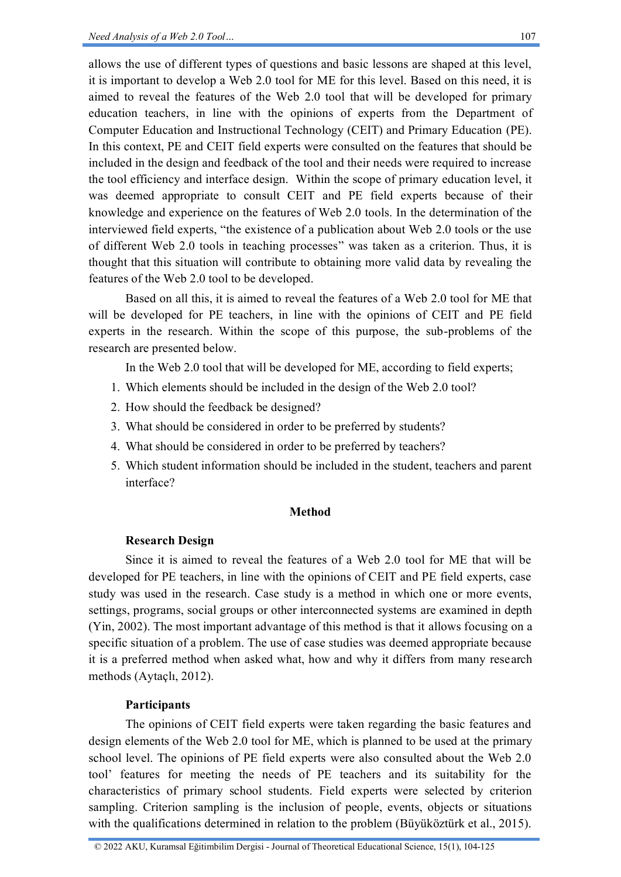allows the use of different types of questions and basic lessons are shaped at this level, it is important to develop a Web 2.0 tool for ME for this level. Based on this need, it is aimed to reveal the features of the Web 2.0 tool that will be developed for primary education teachers, in line with the opinions of experts from the Department of Computer Education and Instructional Technology (CEIT) and Primary Education (PE). In this context, PE and CEIT field experts were consulted on the features that should be included in the design and feedback of the tool and their needs were required to increase the tool efficiency and interface design. Within the scope of primary education level, it was deemed appropriate to consult CEIT and PE field experts because of their knowledge and experience on the features of Web 2.0 tools. In the determination of the interviewed field experts, "the existence of a publication about Web 2.0 tools or the use of different Web 2.0 tools in teaching processes" was taken as a criterion. Thus, it is thought that this situation will contribute to obtaining more valid data by revealing the features of the Web 2.0 tool to be developed.

Based on all this, it is aimed to reveal the features of a Web 2.0 tool for ME that will be developed for PE teachers, in line with the opinions of CEIT and PE field experts in the research. Within the scope of this purpose, the sub-problems of the research are presented below.

In the Web 2.0 tool that will be developed for ME, according to field experts;

- 1. Which elements should be included in the design of the Web 2.0 tool?
- 2. How should the feedback be designed?
- 3. What should be considered in order to be preferred by students?
- 4. What should be considered in order to be preferred by teachers?
- 5. Which student information should be included in the student, teachers and parent interface?

#### **Method**

#### **Research Design**

Since it is aimed to reveal the features of a Web 2.0 tool for ME that will be developed for PE teachers, in line with the opinions of CEIT and PE field experts, case study was used in the research. Case study is a method in which one or more events, settings, programs, social groups or other interconnected systems are examined in depth (Yin, 2002). The most important advantage of this method is that it allows focusing on a specific situation of a problem. The use of case studies was deemed appropriate because it is a preferred method when asked what, how and why it differs from many research methods (Aytaçlı, 2012).

#### **Participants**

The opinions of CEIT field experts were taken regarding the basic features and design elements of the Web 2.0 tool for ME, which is planned to be used at the primary school level. The opinions of PE field experts were also consulted about the Web 2.0 tool' features for meeting the needs of PE teachers and its suitability for the characteristics of primary school students. Field experts were selected by criterion sampling. Criterion sampling is the inclusion of people, events, objects or situations with the qualifications determined in relation to the problem (Büyüköztürk et al., 2015).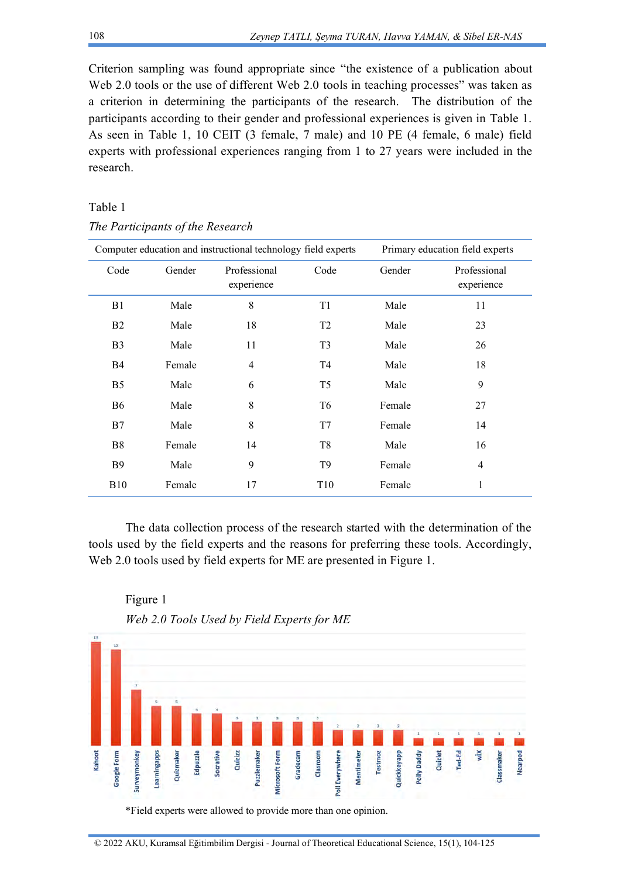Criterion sampling was found appropriate since "the existence of a publication about Web 2.0 tools or the use of different Web 2.0 tools in teaching processes" was taken as a criterion in determining the participants of the research. The distribution of the participants according to their gender and professional experiences is given in Table 1. As seen in Table 1, 10 CEIT (3 female, 7 male) and 10 PE (4 female, 6 male) field experts with professional experiences ranging from 1 to 27 years were included in the research.

# Table 1

| Computer education and instructional technology field experts |        |                            |                 | Primary education field experts |                            |
|---------------------------------------------------------------|--------|----------------------------|-----------------|---------------------------------|----------------------------|
| Code                                                          | Gender | Professional<br>experience | Code            | Gender                          | Professional<br>experience |
| B1                                                            | Male   | 8                          | T <sub>1</sub>  | Male                            | 11                         |
| B <sub>2</sub>                                                | Male   | 18                         | T <sub>2</sub>  | Male                            | 23                         |
| B <sub>3</sub>                                                | Male   | 11                         | T <sub>3</sub>  | Male                            | 26                         |
| <b>B4</b>                                                     | Female | $\overline{4}$             | T <sub>4</sub>  | Male                            | 18                         |
| B <sub>5</sub>                                                | Male   | 6                          | T <sub>5</sub>  | Male                            | 9                          |
| <b>B6</b>                                                     | Male   | 8                          | T <sub>6</sub>  | Female                          | 27                         |
| B7                                                            | Male   | 8                          | T7              | Female                          | 14                         |
| B <sub>8</sub>                                                | Female | 14                         | T <sub>8</sub>  | Male                            | 16                         |
| <b>B</b> 9                                                    | Male   | 9                          | T <sub>9</sub>  | Female                          | $\overline{4}$             |
| <b>B10</b>                                                    | Female | 17                         | T <sub>10</sub> | Female                          | 1                          |

*The Participants of the Research*

The data collection process of the research started with the determination of the tools used by the field experts and the reasons for preferring these tools. Accordingly, Web 2.0 tools used by field experts for ME are presented in Figure 1.





<sup>© 2022</sup> AKU, Kuramsal Eğitimbilim Dergisi - Journal of Theoretical Educational Science, 15(1), 104-125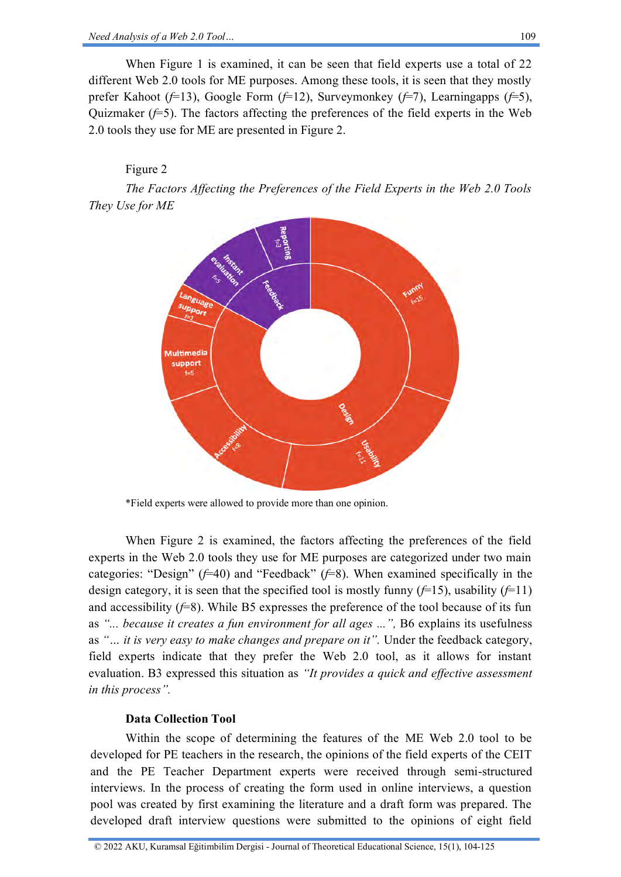When Figure 1 is examined, it can be seen that field experts use a total of 22 different Web 2.0 tools for ME purposes. Among these tools, it is seen that they mostly prefer Kahoot (*f*=13), Google Form (*f*=12), Surveymonkey (*f*=7), Learningapps (*f*=5), Quizmaker  $(f=5)$ . The factors affecting the preferences of the field experts in the Web 2.0 tools they use for ME are presented in Figure 2.

# Figure 2

*The Factors Affecting the Preferences of the Field Experts in the Web 2.0 Tools They Use for ME*



\*Field experts were allowed to provide more than one opinion.

When Figure 2 is examined, the factors affecting the preferences of the field experts in the Web 2.0 tools they use for ME purposes are categorized under two main categories: "Design" (*f*=40) and "Feedback" (*f*=8). When examined specifically in the design category, it is seen that the specified tool is mostly funny  $(f=15)$ , usability  $(f=11)$ and accessibility  $(f=8)$ . While B5 expresses the preference of the tool because of its fun as *"... because it creates a fun environment for all ages ...",* B6 explains its usefulness as *"… it is very easy to make changes and prepare on it".* Under the feedback category, field experts indicate that they prefer the Web 2.0 tool, as it allows for instant evaluation. B3 expressed this situation as *"It provides a quick and effective assessment in this process".*

# **Data Collection Tool**

Within the scope of determining the features of the ME Web 2.0 tool to be developed for PE teachers in the research, the opinions of the field experts of the CEIT and the PE Teacher Department experts were received through semi-structured interviews. In the process of creating the form used in online interviews, a question pool was created by first examining the literature and a draft form was prepared. The developed draft interview questions were submitted to the opinions of eight field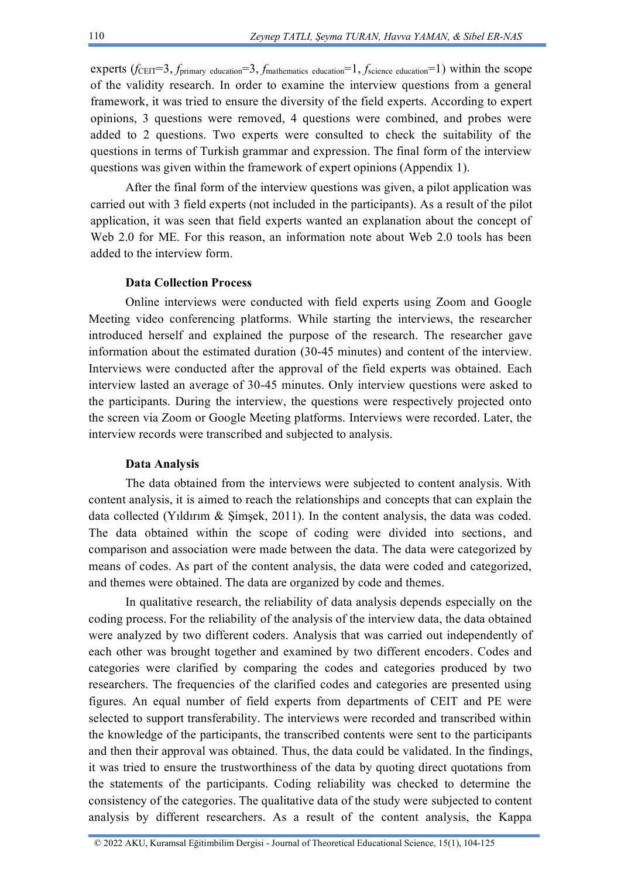experts  $(f_{\text{CEIT}}=3, f_{\text{primary education}}=3, f_{\text{mathematics education}}=1, f_{\text{science education}}=1)$  within the scope of the validity research. In order to examine the interview questions from a general framework, it was tried to ensure the diversity of the field experts. According to expert opinions, 3 questions were removed, 4 questions were combined, and probes were added to 2 questions. Two experts were consulted to check the suitability of the questions in terms of Turkish grammar and expression. The final form of the interview questions was given within the framework of expert opinions (Appendix 1).

After the final form of the interview questions was given, a pilot application was carried out with 3 field experts (not included in the participants). As a result of the pilot application, it was seen that field experts wanted an explanation about the concept of Web 2.0 for ME. For this reason, an information note about Web 2.0 tools has been added to the interview form.

# **Data Collection Process**

Online interviews were conducted with field experts using Zoom and Google Meeting video conferencing platforms. While starting the interviews, the researcher introduced herself and explained the purpose of the research. The researcher gave information about the estimated duration (30-45 minutes) and content of the interview. Interviews were conducted after the approval of the field experts was obtained. Each interview lasted an average of 30-45 minutes. Only interview questions were asked to the participants. During the interview, the questions were respectively projected onto the screen via Zoom or Google Meeting platforms. Interviews were recorded. Later, the interview records were transcribed and subjected to analysis.

#### **Data Analysis**

The data obtained from the interviews were subjected to content analysis. With content analysis, it is aimed to reach the relationships and concepts that can explain the data collected (Yıldırım & Şimşek, 2011). In the content analysis, the data was coded. The data obtained within the scope of coding were divided into sections, and comparison and association were made between the data. The data were categorized by means of codes. As part of the content analysis, the data were coded and categorized, and themes were obtained. The data are organized by code and themes.

In qualitative research, the reliability of data analysis depends especially on the coding process. For the reliability of the analysis of the interview data, the data obtained were analyzed by two different coders. Analysis that was carried out independently of each other was brought together and examined by two different encoders. Codes and categories were clarified by comparing the codes and categories produced by two researchers. The frequencies of the clarified codes and categories are presented using figures. An equal number of field experts from departments of CEIT and PE were selected to support transferability. The interviews were recorded and transcribed within the knowledge of the participants, the transcribed contents were sent to the participants and then their approval was obtained. Thus, the data could be validated. In the findings, it was tried to ensure the trustworthiness of the data by quoting direct quotations from the statements of the participants. Coding reliability was checked to determine the consistency of the categories. The qualitative data of the study were subjected to content analysis by different researchers. As a result of the content analysis, the Kappa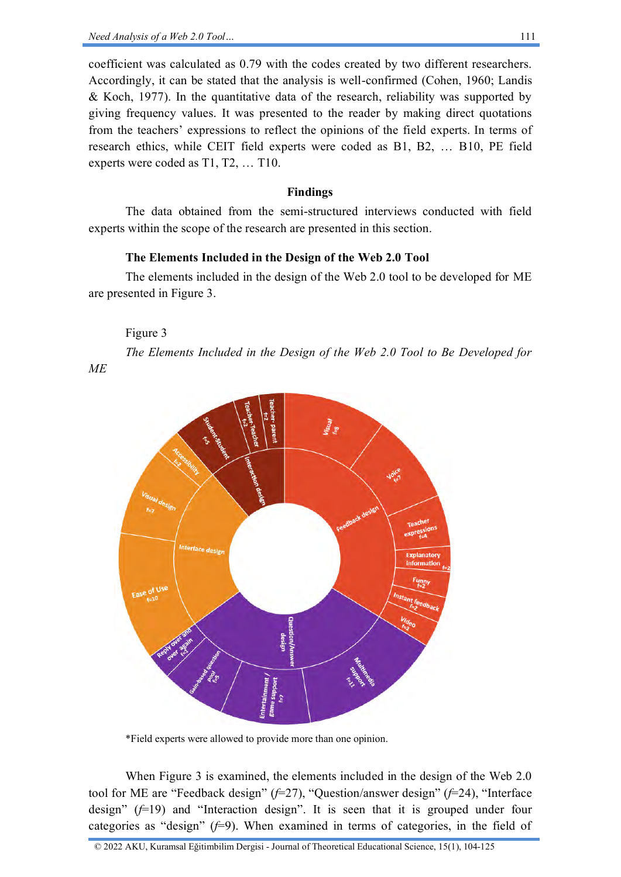coefficient was calculated as 0.79 with the codes created by two different researchers. Accordingly, it can be stated that the analysis is well-confirmed (Cohen, 1960; Landis & Koch, 1977). In the quantitative data of the research, reliability was supported by giving frequency values. It was presented to the reader by making direct quotations from the teachers' expressions to reflect the opinions of the field experts. In terms of research ethics, while CEIT field experts were coded as B1, B2, … B10, PE field experts were coded as T1, T2, … T10.

#### **Findings**

The data obtained from the semi-structured interviews conducted with field experts within the scope of the research are presented in this section.

#### **The Elements Included in the Design of the Web 2.0 Tool**

The elements included in the design of the Web 2.0 tool to be developed for ME are presented in Figure 3.

#### Figure 3

*ME*

*The Elements Included in the Design of the Web 2.0 Tool to Be Developed for* 



\*Field experts were allowed to provide more than one opinion.

When Figure 3 is examined, the elements included in the design of the Web 2.0 tool for ME are "Feedback design" (*f*=27), "Question/answer design" (*f*=24), "Interface design" (*f*=19) and "Interaction design". It is seen that it is grouped under four categories as "design"  $(f=9)$ . When examined in terms of categories, in the field of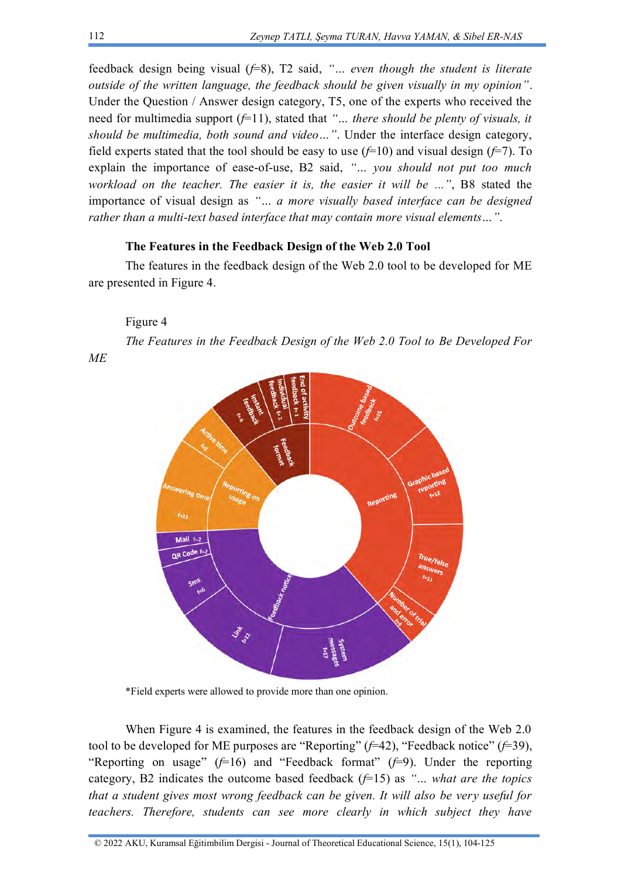feedback design being visual (*f*=8), T2 said, *"… even though the student is literate outside of the written language, the feedback should be given visually in my opinion"*. Under the Question / Answer design category, T5, one of the experts who received the need for multimedia support (*f*=11), stated that *"… there should be plenty of visuals, it should be multimedia, both sound and video…"*. Under the interface design category, field experts stated that the tool should be easy to use  $(f=10)$  and visual design  $(f=7)$ . To explain the importance of ease-of-use, B2 said, *"… you should not put too much workload on the teacher. The easier it is, the easier it will be ..."*, B8 stated the importance of visual design as *"… a more visually based interface can be designed rather than a multi-text based interface that may contain more visual elements…"*.

# **The Features in the Feedback Design of the Web 2.0 Tool**

The features in the feedback design of the Web 2.0 tool to be developed for ME are presented in Figure 4.

#### Figure 4

*ME*

*The Features in the Feedback Design of the Web 2.0 Tool to Be Developed For* 



\*Field experts were allowed to provide more than one opinion.

When Figure 4 is examined, the features in the feedback design of the Web 2.0 tool to be developed for ME purposes are "Reporting" (*f*=42), "Feedback notice" (*f*=39), "Reporting on usage"  $(F=16)$  and "Feedback format"  $(F=9)$ . Under the reporting category, B2 indicates the outcome based feedback (*f*=15) as *"… what are the topics that a student gives most wrong feedback can be given. It will also be very useful for teachers. Therefore, students can see more clearly in which subject they have*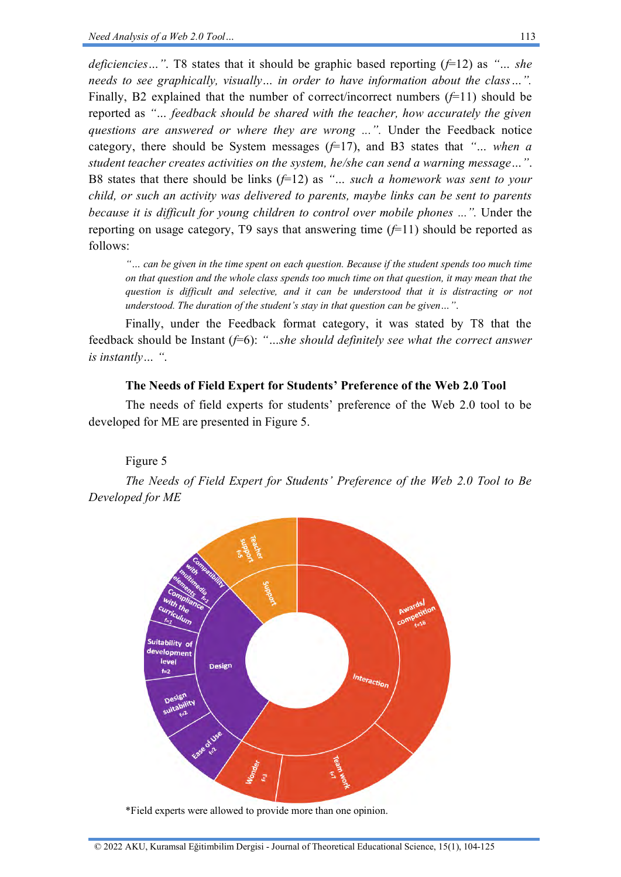*deficiencies…"*. T8 states that it should be graphic based reporting (*f*=12) as *"… she needs to see graphically, visually… in order to have information about the class…".* Finally, B2 explained that the number of correct/incorrect numbers (*f*=11) should be reported as *"… feedback should be shared with the teacher, how accurately the given questions are answered or where they are wrong ...".* Under the Feedback notice category, there should be System messages (*f*=17), and B3 states that *"… when a student teacher creates activities on the system, he/she can send a warning message…"*. B8 states that there should be links (*f*=12) as *"… such a homework was sent to your child, or such an activity was delivered to parents, maybe links can be sent to parents because it is difficult for young children to control over mobile phones ...".* Under the reporting on usage category, T9 says that answering time  $(f=11)$  should be reported as follows:

*"… can be given in the time spent on each question. Because if the student spends too much time on that question and the whole class spends too much time on that question, it may mean that the question is difficult and selective, and it can be understood that it is distracting or not understood. The duration of the student's stay in that question can be given…"*.

Finally, under the Feedback format category, it was stated by T8 that the feedback should be Instant ( $f=6$ ): "...she should definitely see what the correct answer *is instantly… "*.

#### **The Needs of Field Expert for Students' Preference of the Web 2.0 Tool**

The needs of field experts for students' preference of the Web 2.0 tool to be developed for ME are presented in Figure 5.

Figure 5

*The Needs of Field Expert for Students' Preference of the Web 2.0 Tool to Be Developed for ME*



\*Field experts were allowed to provide more than one opinion.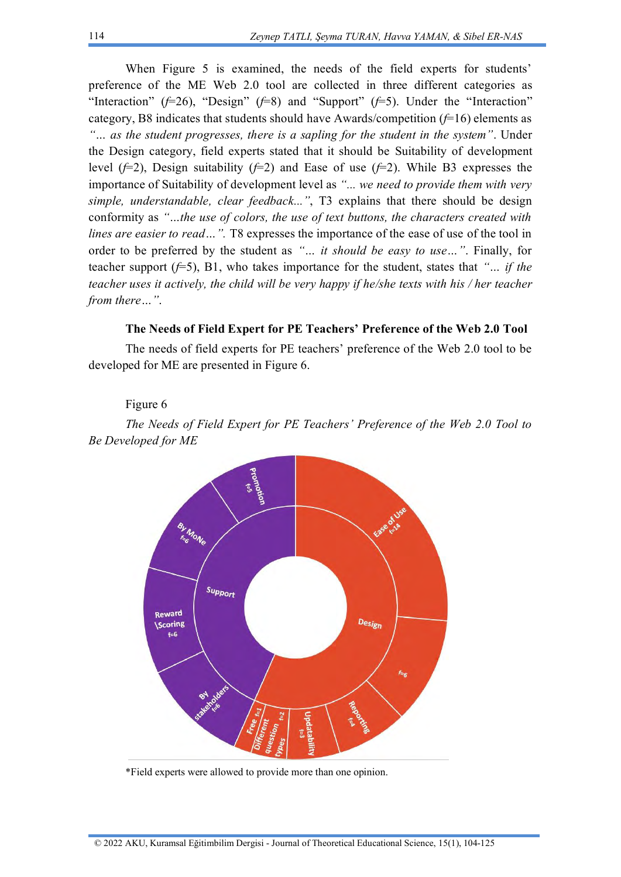When Figure 5 is examined, the needs of the field experts for students' preference of the ME Web 2.0 tool are collected in three different categories as "Interaction"  $(f=26)$ , "Design"  $(f=8)$  and "Support"  $(f=5)$ . Under the "Interaction" category, B8 indicates that students should have Awards/competition (*f*=16) elements as *"… as the student progresses, there is a sapling for the student in the system"*. Under the Design category, field experts stated that it should be Suitability of development level (*f*=2), Design suitability (*f*=2) and Ease of use (*f*=2). While B3 expresses the importance of Suitability of development level as *"... we need to provide them with very simple, understandable, clear feedback..."*, T3 explains that there should be design conformity as *"…the use of colors, the use of text buttons, the characters created with lines are easier to read...*". T8 expresses the importance of the ease of use of the tool in order to be preferred by the student as *"… it should be easy to use…"*. Finally, for teacher support  $(f=5)$ , B1, who takes importance for the student, states that *"... if the teacher uses it actively, the child will be very happy if he/she texts with his / her teacher from there…"*.

## **The Needs of Field Expert for PE Teachers' Preference of the Web 2.0 Tool**

The needs of field experts for PE teachers' preference of the Web 2.0 tool to be developed for ME are presented in Figure 6.

#### Figure 6

*The Needs of Field Expert for PE Teachers' Preference of the Web 2.0 Tool to Be Developed for ME*



\*Field experts were allowed to provide more than one opinion.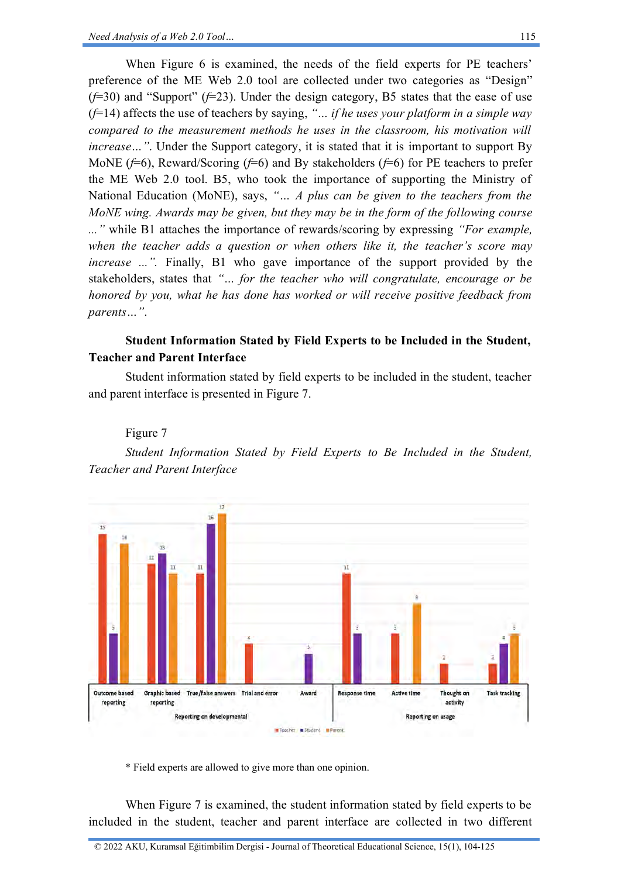When Figure 6 is examined, the needs of the field experts for PE teachers' preference of the ME Web 2.0 tool are collected under two categories as "Design" (*f*=30) and "Support" (*f*=23). Under the design category, B5 states that the ease of use (*f*=14) affects the use of teachers by saying, *"… if he uses your platform in a simple way compared to the measurement methods he uses in the classroom, his motivation will increase* ... ". Under the Support category, it is stated that it is important to support By MoNE (*f*=6), Reward/Scoring (*f*=6) and By stakeholders (*f*=6) for PE teachers to prefer the ME Web 2.0 tool. B5, who took the importance of supporting the Ministry of National Education (MoNE), says, *"… A plus can be given to the teachers from the MoNE wing. Awards may be given, but they may be in the form of the following course ..."* while B1 attaches the importance of rewards/scoring by expressing *"For example, when the teacher adds a question or when others like it, the teacher's score may increase ...".* Finally, B1 who gave importance of the support provided by the stakeholders, states that *"… for the teacher who will congratulate, encourage or be honored by you, what he has done has worked or will receive positive feedback from parents…"*.

# **Student Information Stated by Field Experts to be Included in the Student, Teacher and Parent Interface**

Student information stated by field experts to be included in the student, teacher and parent interface is presented in Figure 7.

# Figure 7

*Student Information Stated by Field Experts to Be Included in the Student, Teacher and Parent Interface*



\* Field experts are allowed to give more than one opinion.

When Figure 7 is examined, the student information stated by field experts to be included in the student, teacher and parent interface are collected in two different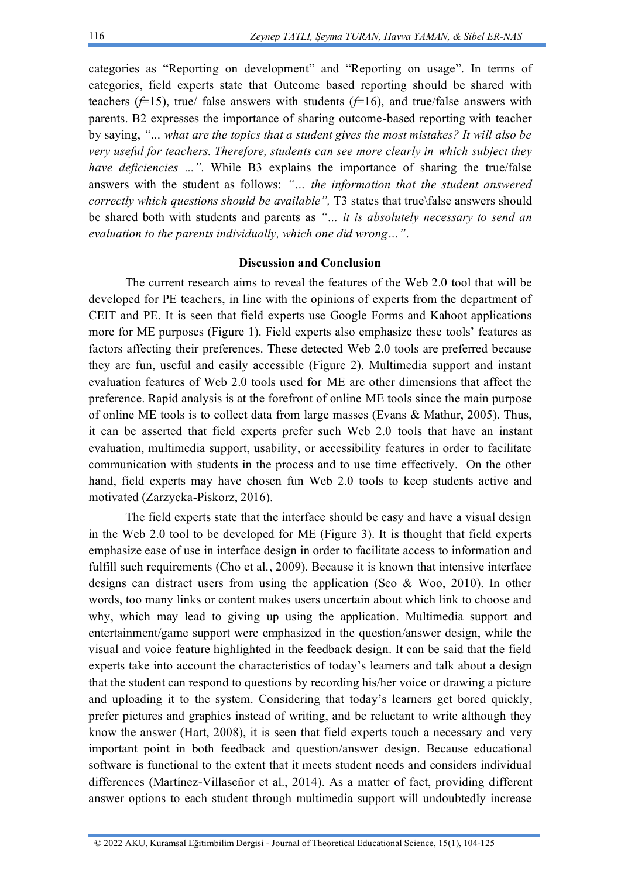categories as "Reporting on development" and "Reporting on usage". In terms of categories, field experts state that Outcome based reporting should be shared with teachers ( $f=15$ ), true/ false answers with students ( $f=16$ ), and true/false answers with parents. B2 expresses the importance of sharing outcome-based reporting with teacher by saying, *"… what are the topics that a student gives the most mistakes? It will also be very useful for teachers. Therefore, students can see more clearly in which subject they have deficiencies ..."*. While B3 explains the importance of sharing the true/false answers with the student as follows: *"… the information that the student answered correctly which questions should be available",* T3 states that true\false answers should be shared both with students and parents as *"… it is absolutely necessary to send an evaluation to the parents individually, which one did wrong…"*.

#### **Discussion and Conclusion**

The current research aims to reveal the features of the Web 2.0 tool that will be developed for PE teachers, in line with the opinions of experts from the department of CEIT and PE. It is seen that field experts use Google Forms and Kahoot applications more for ME purposes (Figure 1). Field experts also emphasize these tools' features as factors affecting their preferences. These detected Web 2.0 tools are preferred because they are fun, useful and easily accessible (Figure 2). Multimedia support and instant evaluation features of Web 2.0 tools used for ME are other dimensions that affect the preference. Rapid analysis is at the forefront of online ME tools since the main purpose of online ME tools is to collect data from large masses (Evans & Mathur, 2005). Thus, it can be asserted that field experts prefer such Web 2.0 tools that have an instant evaluation, multimedia support, usability, or accessibility features in order to facilitate communication with students in the process and to use time effectively. On the other hand, field experts may have chosen fun Web 2.0 tools to keep students active and motivated (Zarzycka-Piskorz, 2016).

The field experts state that the interface should be easy and have a visual design in the Web 2.0 tool to be developed for ME (Figure 3). It is thought that field experts emphasize ease of use in interface design in order to facilitate access to information and fulfill such requirements (Cho et al., 2009). Because it is known that intensive interface designs can distract users from using the application (Seo & Woo, 2010). In other words, too many links or content makes users uncertain about which link to choose and why, which may lead to giving up using the application. Multimedia support and entertainment/game support were emphasized in the question/answer design, while the visual and voice feature highlighted in the feedback design. It can be said that the field experts take into account the characteristics of today's learners and talk about a design that the student can respond to questions by recording his/her voice or drawing a picture and uploading it to the system. Considering that today's learners get bored quickly, prefer pictures and graphics instead of writing, and be reluctant to write although they know the answer (Hart, 2008), it is seen that field experts touch a necessary and very important point in both feedback and question/answer design. Because educational software is functional to the extent that it meets student needs and considers individual differences (Martínez-Villaseñor et al., 2014). As a matter of fact, providing different answer options to each student through multimedia support will undoubtedly increase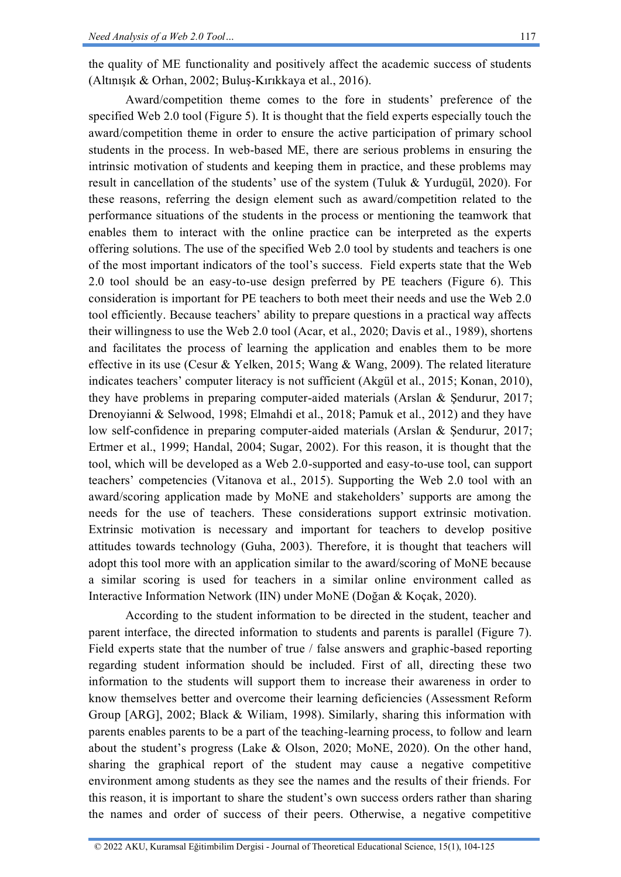the quality of ME functionality and positively affect the academic success of students (Altınışık & Orhan, 2002; Buluş-Kırıkkaya et al., 2016).

Award/competition theme comes to the fore in students' preference of the specified Web 2.0 tool (Figure 5). It is thought that the field experts especially touch the award/competition theme in order to ensure the active participation of primary school students in the process. In web-based ME, there are serious problems in ensuring the intrinsic motivation of students and keeping them in practice, and these problems may result in cancellation of the students' use of the system (Tuluk & Yurdugül, 2020). For these reasons, referring the design element such as award/competition related to the performance situations of the students in the process or mentioning the teamwork that enables them to interact with the online practice can be interpreted as the experts offering solutions. The use of the specified Web 2.0 tool by students and teachers is one of the most important indicators of the tool's success. Field experts state that the Web 2.0 tool should be an easy-to-use design preferred by PE teachers (Figure 6). This consideration is important for PE teachers to both meet their needs and use the Web 2.0 tool efficiently. Because teachers' ability to prepare questions in a practical way affects their willingness to use the Web 2.0 tool (Acar, et al., 2020; Davis et al., 1989), shortens and facilitates the process of learning the application and enables them to be more effective in its use (Cesur & Yelken, 2015; Wang & Wang, 2009). The related literature indicates teachers' computer literacy is not sufficient (Akgül et al., 2015; Konan, 2010), they have problems in preparing computer-aided materials (Arslan & Şendurur, 2017; Drenoyianni & Selwood, 1998; Elmahdi et al., 2018; Pamuk et al., 2012) and they have low self-confidence in preparing computer-aided materials (Arslan & Şendurur, 2017; Ertmer et al., 1999; Handal, 2004; Sugar, 2002). For this reason, it is thought that the tool, which will be developed as a Web 2.0-supported and easy-to-use tool, can support teachers' competencies (Vitanova et al., 2015). Supporting the Web 2.0 tool with an award/scoring application made by MoNE and stakeholders' supports are among the needs for the use of teachers. These considerations support extrinsic motivation. Extrinsic motivation is necessary and important for teachers to develop positive attitudes towards technology (Guha, 2003). Therefore, it is thought that teachers will adopt this tool more with an application similar to the award/scoring of MoNE because a similar scoring is used for teachers in a similar online environment called as Interactive Information Network (IIN) under MoNE (Doğan & Koçak, 2020).

According to the student information to be directed in the student, teacher and parent interface, the directed information to students and parents is parallel (Figure 7). Field experts state that the number of true / false answers and graphic-based reporting regarding student information should be included. First of all, directing these two information to the students will support them to increase their awareness in order to know themselves better and overcome their learning deficiencies (Assessment Reform Group [ARG], 2002; Black & Wiliam, 1998). Similarly, sharing this information with parents enables parents to be a part of the teaching-learning process, to follow and learn about the student's progress (Lake & Olson, 2020; MoNE, 2020). On the other hand, sharing the graphical report of the student may cause a negative competitive environment among students as they see the names and the results of their friends. For this reason, it is important to share the student's own success orders rather than sharing the names and order of success of their peers. Otherwise, a negative competitive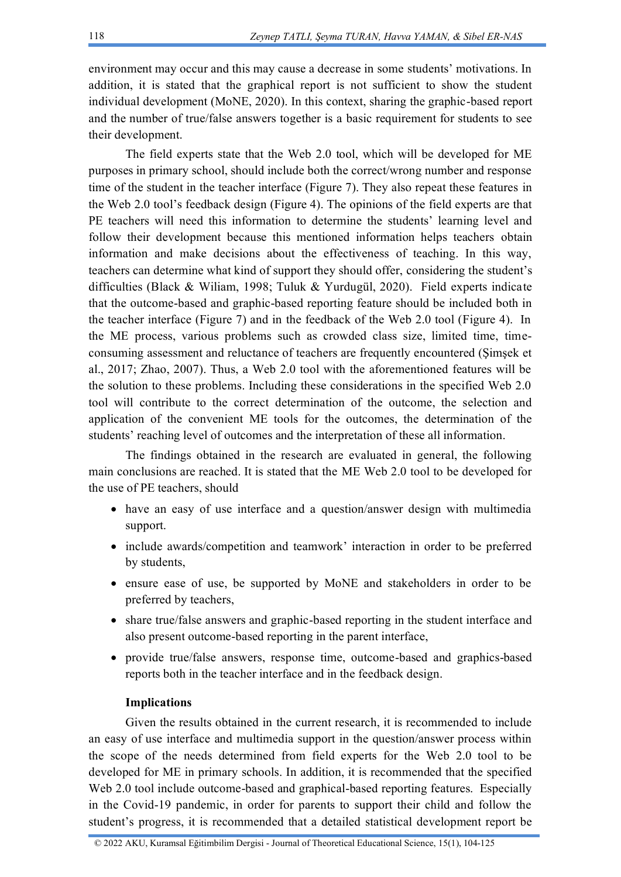environment may occur and this may cause a decrease in some students' motivations. In addition, it is stated that the graphical report is not sufficient to show the student individual development (MoNE, 2020). In this context, sharing the graphic-based report and the number of true/false answers together is a basic requirement for students to see their development.

The field experts state that the Web 2.0 tool, which will be developed for ME purposes in primary school, should include both the correct/wrong number and response time of the student in the teacher interface (Figure 7). They also repeat these features in the Web 2.0 tool's feedback design (Figure 4). The opinions of the field experts are that PE teachers will need this information to determine the students' learning level and follow their development because this mentioned information helps teachers obtain information and make decisions about the effectiveness of teaching. In this way, teachers can determine what kind of support they should offer, considering the student's difficulties (Black & Wiliam, 1998; Tuluk & Yurdugül, 2020). Field experts indicate that the outcome-based and graphic-based reporting feature should be included both in the teacher interface (Figure 7) and in the feedback of the Web 2.0 tool (Figure 4). In the ME process, various problems such as crowded class size, limited time, timeconsuming assessment and reluctance of teachers are frequently encountered (Şimşek et al., 2017; Zhao, 2007). Thus, a Web 2.0 tool with the aforementioned features will be the solution to these problems. Including these considerations in the specified Web 2.0 tool will contribute to the correct determination of the outcome, the selection and application of the convenient ME tools for the outcomes, the determination of the students' reaching level of outcomes and the interpretation of these all information.

The findings obtained in the research are evaluated in general, the following main conclusions are reached. It is stated that the ME Web 2.0 tool to be developed for the use of PE teachers, should

- have an easy of use interface and a question/answer design with multimedia support.
- include awards/competition and teamwork' interaction in order to be preferred by students,
- ensure ease of use, be supported by MoNE and stakeholders in order to be preferred by teachers,
- share true/false answers and graphic-based reporting in the student interface and also present outcome-based reporting in the parent interface,
- provide true/false answers, response time, outcome-based and graphics-based reports both in the teacher interface and in the feedback design.

## **Implications**

Given the results obtained in the current research, it is recommended to include an easy of use interface and multimedia support in the question/answer process within the scope of the needs determined from field experts for the Web 2.0 tool to be developed for ME in primary schools. In addition, it is recommended that the specified Web 2.0 tool include outcome-based and graphical-based reporting features. Especially in the Covid-19 pandemic, in order for parents to support their child and follow the student's progress, it is recommended that a detailed statistical development report be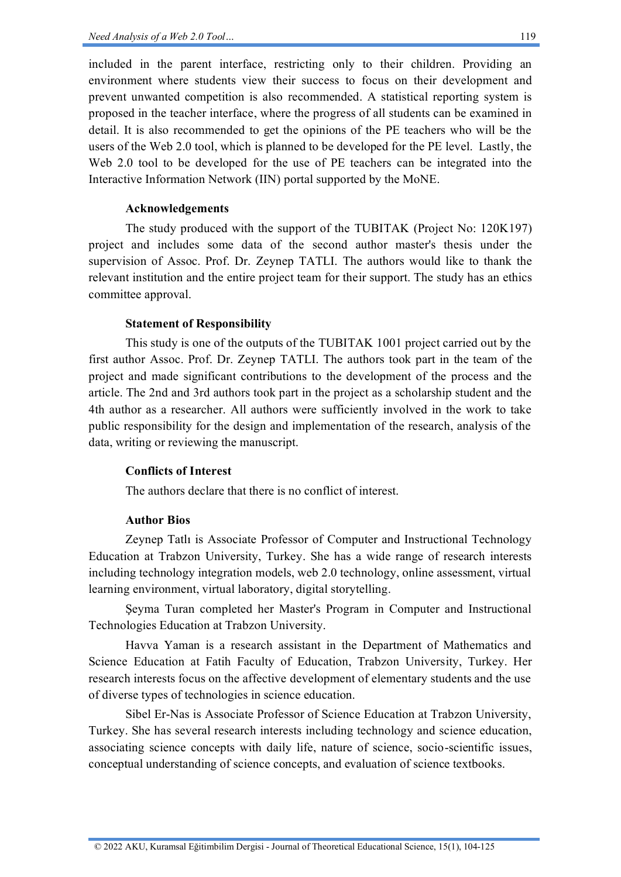included in the parent interface, restricting only to their children. Providing an environment where students view their success to focus on their development and prevent unwanted competition is also recommended. A statistical reporting system is proposed in the teacher interface, where the progress of all students can be examined in detail. It is also recommended to get the opinions of the PE teachers who will be the users of the Web 2.0 tool, which is planned to be developed for the PE level. Lastly, the Web 2.0 tool to be developed for the use of PE teachers can be integrated into the Interactive Information Network (IIN) portal supported by the MoNE.

## **Acknowledgements**

The study produced with the support of the TUBITAK (Project No: 120K197) project and includes some data of the second author master's thesis under the supervision of Assoc. Prof. Dr. Zeynep TATLI. The authors would like to thank the relevant institution and the entire project team for their support. The study has an ethics committee approval.

## **Statement of Responsibility**

This study is one of the outputs of the TUBITAK 1001 project carried out by the first author Assoc. Prof. Dr. Zeynep TATLI. The authors took part in the team of the project and made significant contributions to the development of the process and the article. The 2nd and 3rd authors took part in the project as a scholarship student and the 4th author as a researcher. All authors were sufficiently involved in the work to take public responsibility for the design and implementation of the research, analysis of the data, writing or reviewing the manuscript.

#### **Conflicts of Interest**

The authors declare that there is no conflict of interest.

# **Author Bios**

Zeynep Tatlı is Associate Professor of Computer and Instructional Technology Education at Trabzon University, Turkey. She has a wide range of research interests including technology integration models, web 2.0 technology, online assessment, virtual learning environment, virtual laboratory, digital storytelling.

Şeyma Turan completed her Master's Program in Computer and Instructional Technologies Education at Trabzon University.

Havva Yaman is a research assistant in the Department of Mathematics and Science Education at Fatih Faculty of Education, Trabzon University, Turkey. Her research interests focus on the affective development of elementary students and the use of diverse types of technologies in science education.

Sibel Er-Nas is Associate Professor of Science Education at Trabzon University, Turkey. She has several research interests including technology and science education, associating science concepts with daily life, nature of science, socio-scientific issues, conceptual understanding of science concepts, and evaluation of science textbooks.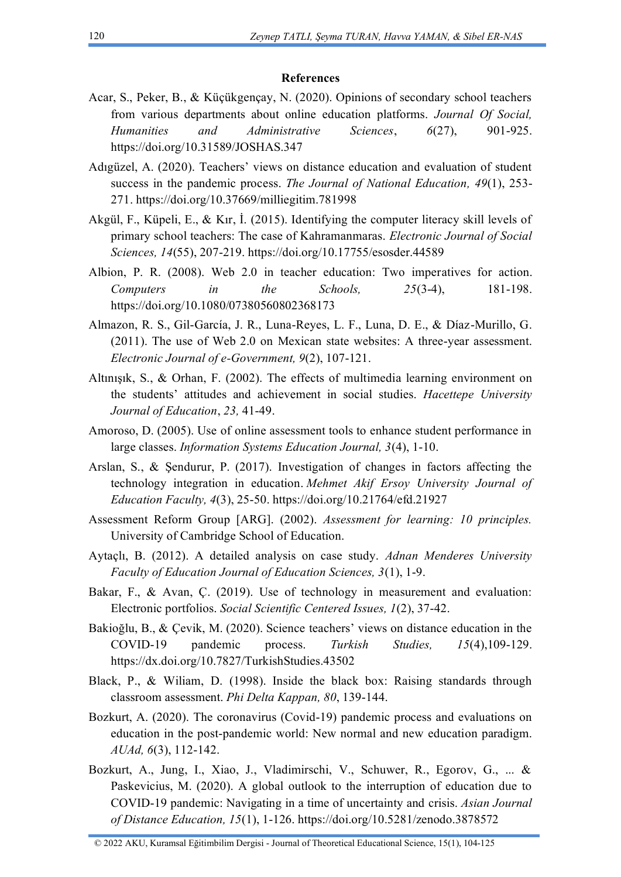## **References**

- Acar, S., Peker, B., & Küçükgençay, N. (2020). Opinions of secondary school teachers from various departments about online education platforms. *Journal Of Social, Humanities and Administrative Sciences*, *6*(27), 901-925. <https://doi.org/10.31589/JOSHAS.347>
- Adıgüzel, A. (2020). Teachers' views on distance education and evaluation of student success in the pandemic process. *The Journal of National Education, 49*(1), 253- 271. https://doi.org/10.37669/milliegitim.781998
- Akgül, F., Küpeli, E., & Kır, İ. (2015). Identifying the computer literacy skill levels of primary school teachers: The case of Kahramanmaras. *Electronic Journal of Social Sciences, 14*(55), 207-219. https://doi.org/10.17755/esosder.44589
- Albion, P. R. (2008). Web 2.0 in teacher education: Two imperatives for action. *Computers in the Schools, 25*(3-4), 181-198. https://doi.org/10.1080/07380560802368173
- Almazon, R. S., Gil-García, J. R., Luna-Reyes, L. F., Luna, D. E., & Díaz-Murillo, G. (2011). The use of Web 2.0 on Mexican state websites: A three-year assessment. *Electronic Journal of e-Government, 9*(2), 107-121.
- Altınışık, S., & Orhan, F. (2002). The effects of multimedia learning environment on the students' attitudes and achievement in social studies. *Hacettepe University Journal of Education*, *23,* 41-49.
- Amoroso, D. (2005). Use of online assessment tools to enhance student performance in large classes. *Information Systems Education Journal, 3*(4), 1-10.
- Arslan, S., & Şendurur, P. (2017). Investigation of changes in factors affecting the technology integration in education. *Mehmet Akif Ersoy University Journal of Education Faculty, 4*(3), 25-50. https://doi.org/10.21764/efd.21927
- Assessment Reform Group [ARG]. (2002). *Assessment for learning: 10 principles.* University of Cambridge School of Education.
- Aytaçlı, B. (2012). A detailed analysis on case study. *Adnan Menderes University Faculty of Education Journal of Education Sciences, 3*(1), 1-9.
- Bakar, F., & Avan, C. (2019). Use of technology in measurement and evaluation: Electronic portfolios. *Social Scientific Centered Issues, 1*(2), 37-42.
- Bakioğlu, B., & Çevik, M. (2020). Science teachers' views on distance education in the COVID-19 pandemic process. *Turkish Studies, 15*(4),109-129. https://dx.doi.org/10.7827/TurkishStudies.43502
- Black, P., & Wiliam, D. (1998). Inside the black box: Raising standards through classroom assessment. *Phi Delta Kappan, 80*, 139-144.
- Bozkurt, A. (2020). The coronavirus (Covid-19) pandemic process and evaluations on education in the post-pandemic world: New normal and new education paradigm. *AUAd, 6*(3), 112-142.
- Bozkurt, A., Jung, I., Xiao, J., Vladimirschi, V., Schuwer, R., Egorov, G., ... & Paskevicius, M. (2020). A global outlook to the interruption of education due to COVID-19 pandemic: Navigating in a time of uncertainty and crisis. *Asian Journal of Distance Education, 15*(1), 1-126. <https://doi.org/10.5281/zenodo.3878572>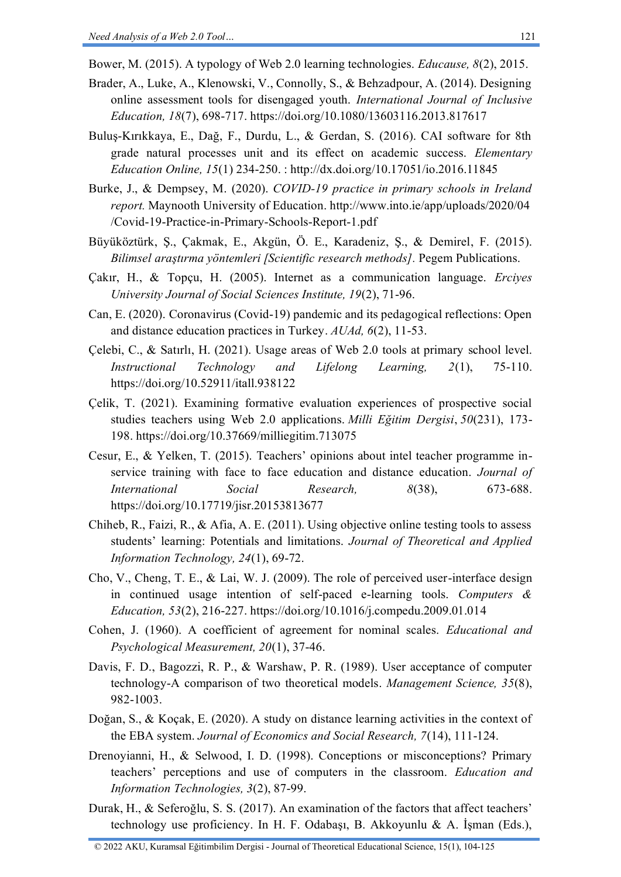Bower, M. (2015). A typology of Web 2.0 learning technologies. *Educause, 8*(2), 2015.

- Brader, A., Luke, A., Klenowski, V., Connolly, S., & Behzadpour, A. (2014). Designing online assessment tools for disengaged youth. *International Journal of Inclusive Education, 18*(7), 698-717. https://doi.org/10.1080/13603116.2013.817617
- Buluş-Kırıkkaya, E., Dağ, F., Durdu, L., & Gerdan, S. (2016). CAI software for 8th grade natural processes unit and its effect on academic success. *Elementary Education Online, 15*(1) 234-250. : http://dx.doi.org/10.17051/io.2016.11845
- Burke, J., & Dempsey, M. (2020). *COVID-19 practice in primary schools in Ireland report.* Maynooth University of Education. [http://www.into.ie/app/uploads/2020/04](http://www.into.ie/app/uploads/2020/04/Covid-19-Practice-in-Primary-Schools-Report-1.pdf) [/Covid-19-Practice-in-Primary-Schools-Report-1.pdf](http://www.into.ie/app/uploads/2020/04/Covid-19-Practice-in-Primary-Schools-Report-1.pdf)
- Büyüköztürk, Ş., Çakmak, E., Akgün, Ö. E., Karadeniz, Ş., & Demirel, F. (2015). *Bilimsel araştırma yöntemleri [Scientific research methods].* Pegem Publications.
- Çakır, H., & Topçu, H. (2005). Internet as a communication language. *Erciyes University Journal of Social Sciences Institute, 19*(2), 71-96.
- Can, E. (2020). Coronavirus (Covid-19) pandemic and its pedagogical reflections: Open and distance education practices in Turkey. *AUAd, 6*(2), 11-53.
- Çelebi, C., & Satırlı, H. (2021). Usage areas of Web 2.0 tools at primary school level. *Instructional Technology and Lifelong Learning, 2*(1), 75-110. https://doi.org/10.52911/itall.938122
- Çelik, T. (2021). Examining formative evaluation experiences of prospective social studies teachers using Web 2.0 applications. *Milli Eğitim Dergisi*, *50*(231), 173- 198. https://doi.org/10.37669/milliegitim.713075
- Cesur, E., & Yelken, T. (2015). Teachers' opinions about intel teacher programme inservice training with face to face education and distance education. *Journal of International Social Research, 8*(38), 673-688. https://doi.org/10.17719/jisr.20153813677
- Chiheb, R., Faizi, R., & Afia, A. E. (2011). Using objective online testing tools to assess students' learning: Potentials and limitations. *Journal of Theoretical and Applied Information Technology, 24*(1), 69-72.
- Cho, V., Cheng, T. E., & Lai, W. J. (2009). The role of perceived user-interface design in continued usage intention of self-paced e-learning tools. *Computers & Education, 53*(2), 216-227. https://doi.org/10.1016/j.compedu.2009.01.014
- Cohen, J. (1960). A coefficient of agreement for nominal scales. *Educational and Psychological Measurement, 20*(1), 37-46.
- Davis, F. D., Bagozzi, R. P., & Warshaw, P. R. (1989). User acceptance of computer technology-A comparison of two theoretical models. *Management Science, 35*(8), 982-1003.
- Doğan, S., & Koçak, E. (2020). A study on distance learning activities in the context of the EBA system. *Journal of Economics and Social Research, 7*(14), 111-124.
- Drenoyianni, H., & Selwood, I. D. (1998). Conceptions or misconceptions? Primary teachers' perceptions and use of computers in the classroom. *Education and Information Technologies, 3*(2), 87-99.
- Durak, H., & Seferoğlu, S. S. (2017). An examination of the factors that affect teachers' technology use proficiency. In H. F. Odabaşı, B. Akkoyunlu & A. İşman (Eds.),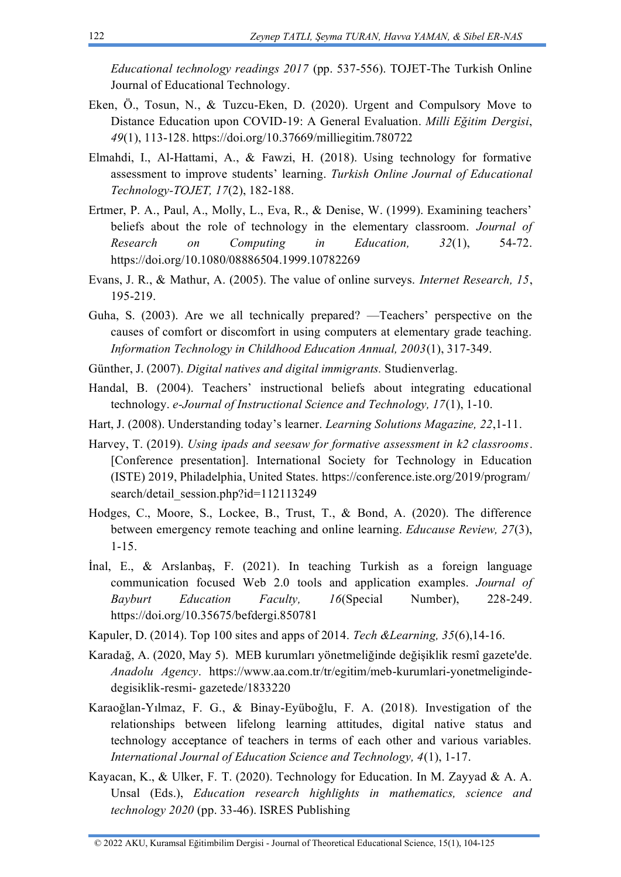*Educational technology readings 2017* (pp. 537-556). TOJET-The Turkish Online Journal of Educational Technology.

- Eken, Ö., Tosun, N., & Tuzcu-Eken, D. (2020). Urgent and Compulsory Move to Distance Education upon COVID-19: A General Evaluation. *Milli Eğitim Dergisi*, *49*(1), 113-128. https://doi.org/10.37669/milliegitim.780722
- Elmahdi, I., Al-Hattami, A., & Fawzi, H. (2018). Using technology for formative assessment to improve students' learning. *Turkish Online Journal of Educational Technology-TOJET, 17*(2), 182-188.
- Ertmer, P. A., Paul, A., Molly, L., Eva, R., & Denise, W. (1999). Examining teachers' beliefs about the role of technology in the elementary classroom. *Journal of Research on Computing in Education, 32*(1), 54-72. <https://doi.org/10.1080/08886504.1999.10782269>
- Evans, J. R., & Mathur, A. (2005). The value of online surveys. *Internet Research, 15*, 195-219.
- Guha, S. (2003). Are we all technically prepared? —Teachers' perspective on the causes of comfort or discomfort in using computers at elementary grade teaching. *Information Technology in Childhood Education Annual, 2003*(1), 317-349.
- Günther, J. (2007). *Digital natives and digital immigrants.* Studienverlag.
- Handal, B. (2004). Teachers' instructional beliefs about integrating educational technology. *e-Journal of Instructional Science and Technology, 17*(1), 1-10.
- Hart, J. (2008). Understanding today's learner. *Learning Solutions Magazine, 22*,1-11.
- Harvey, T. (2019). *Using ipads and seesaw for formative assessment in k2 classrooms*. [Conference presentation]. International Society for Technology in Education (ISTE) 2019, Philadelphia, United States. [https://conference.iste.org/2019/program/](https://conference.iste.org/2019/program/search/detail_session.php?id=112113249) [search/detail\\_session.php?id=112113249](https://conference.iste.org/2019/program/search/detail_session.php?id=112113249)
- Hodges, C., Moore, S., Lockee, B., Trust, T., & Bond, A. (2020). The difference between emergency remote teaching and online learning. *Educause Review, 27*(3), 1-15.
- İnal, E., & Arslanbaş, F. (2021). In teaching Turkish as a foreign language communication focused Web 2.0 tools and application examples. *Journal of Bayburt Education Faculty, 16*(Special Number), 228-249. https://doi.org/10.35675/befdergi.850781
- Kapuler, D. (2014). Top 100 sites and apps of 2014. *Tech &Learning, 35*(6),14-16.
- Karadağ, A. (2020, May 5). MEB kurumları yönetmeliğinde değişiklik resmî gazete'de. *Anadolu Agency*. [https://www.aa.com.tr/tr/egitim/meb-kurumlari-yonetmeliginde](https://www.aa.com.tr/tr/egitim/meb-kurumlari-yonetmeliginde-degisiklik-resmi-%20gazetede/1833220)degisiklik-resmi- [gazetede/1833220](https://www.aa.com.tr/tr/egitim/meb-kurumlari-yonetmeliginde-degisiklik-resmi-%20gazetede/1833220)
- Karaoğlan-Yılmaz, F. G., & Binay-Eyüboğlu, F. A. (2018). Investigation of the relationships between lifelong learning attitudes, digital native status and technology acceptance of teachers in terms of each other and various variables. *International Journal of Education Science and Technology, 4*(1), 1-17.
- Kayacan, K., & Ulker, F. T. (2020). Technology for Education. In M. Zayyad & A. A. Unsal (Eds.), *Education research highlights in mathematics, science and technology 2020* (pp. 33-46). ISRES Publishing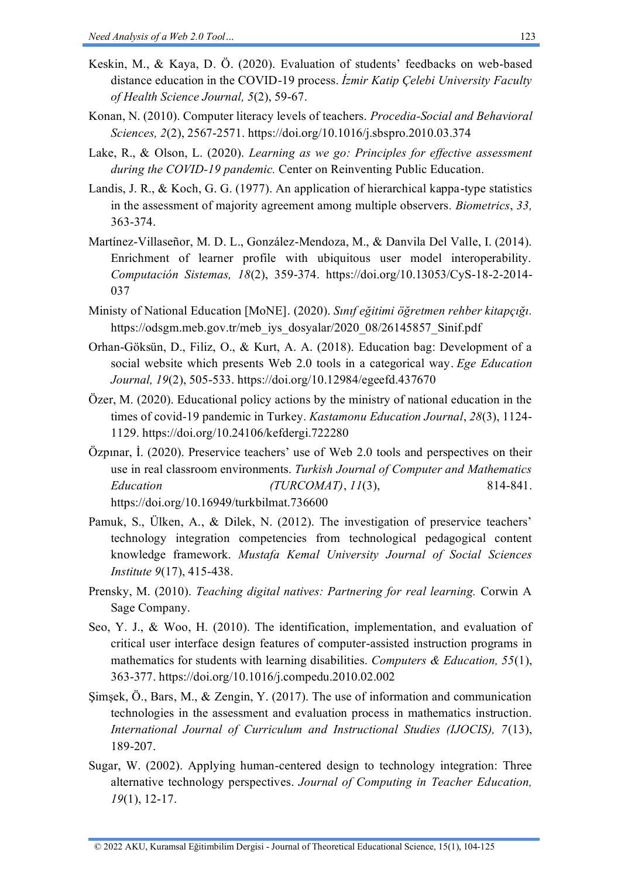- Keskin, M., & Kaya, D. Ö. (2020). Evaluation of students' feedbacks on web-based distance education in the COVID-19 process. *İzmir Katip Çelebi University Faculty of Health Science Journal, 5*(2), 59-67.
- Konan, N. (2010). Computer literacy levels of teachers. *Procedia-Social and Behavioral Sciences, 2*(2), 2567-2571. https://doi.org/10.1016/j.sbspro.2010.03.374
- Lake, R., & Olson, L. (2020). *Learning as we go: Principles for effective assessment during the COVID-19 pandemic.* Center on Reinventing Public Education.
- Landis, J. R., & Koch, G. G. (1977). An application of hierarchical kappa-type statistics in the assessment of majority agreement among multiple observers*. Biometrics*, *33,*  363-374.
- Martínez-Villaseñor, M. D. L., González-Mendoza, M., & Danvila Del Valle, I. (2014). Enrichment of learner profile with ubiquitous user model interoperability. *Computación Sistemas, 18*(2), 359-374. https://doi.org/10.13053/CyS-18-2-2014- 037
- Ministy of National Education [MoNE]. (2020). *Sınıf eğitimi öğretmen rehber kitapçığı.* [https://odsgm.meb.gov.tr/meb\\_iys\\_dosyalar/2020\\_08/26145857\\_Sinif.pdf](https://odsgm.meb.gov.tr/meb_iys_dosyalar/2020_08/26145857_Sinif.pdf)
- Orhan-Göksün, D., Filiz, O., & Kurt, A. A. (2018). Education bag: Development of a social website which presents Web 2.0 tools in a categorical way. *Ege Education Journal, 19*(2), 505-533. https://doi.org/10.12984/egeefd.437670
- Özer, M. (2020). Educational policy actions by the ministry of national education in the times of covid-19 pandemic in Turkey. *Kastamonu Education Journal*, *28*(3), 1124- 1129. https://doi.org/10.24106/kefdergi.722280
- Özpınar, İ. (2020). Preservice teachers' use of Web 2.0 tools and perspectives on their use in real classroom environments. *Turkish Journal of Computer and Mathematics Education (TURCOMAT)*, *11*(3), 814-841. https://doi.org/10.16949/turkbilmat.736600
- Pamuk, S., Ülken, A., & Dilek, N. (2012). The investigation of preservice teachers' technology integration competencies from technological pedagogical content knowledge framework. *Mustafa Kemal University Journal of Social Sciences Institute 9*(17), 415-438.
- Prensky, M. (2010). *Teaching digital natives: Partnering for real learning.* Corwin A Sage Company.
- Seo, Y. J., & Woo, H. (2010). The identification, implementation, and evaluation of critical user interface design features of computer-assisted instruction programs in mathematics for students with learning disabilities. *Computers & Education, 55*(1), 363-377. https://doi.org/10.1016/j.compedu.2010.02.002
- Şimşek, Ö., Bars, M., & Zengin, Y. (2017). The use of information and communication technologies in the assessment and evaluation process in mathematics instruction. *International Journal of Curriculum and Instructional Studies (IJOCIS), 7*(13), 189-207.
- Sugar, W. (2002). Applying human-centered design to technology integration: Three alternative technology perspectives. *Journal of Computing in Teacher Education, 19*(1), 12-17.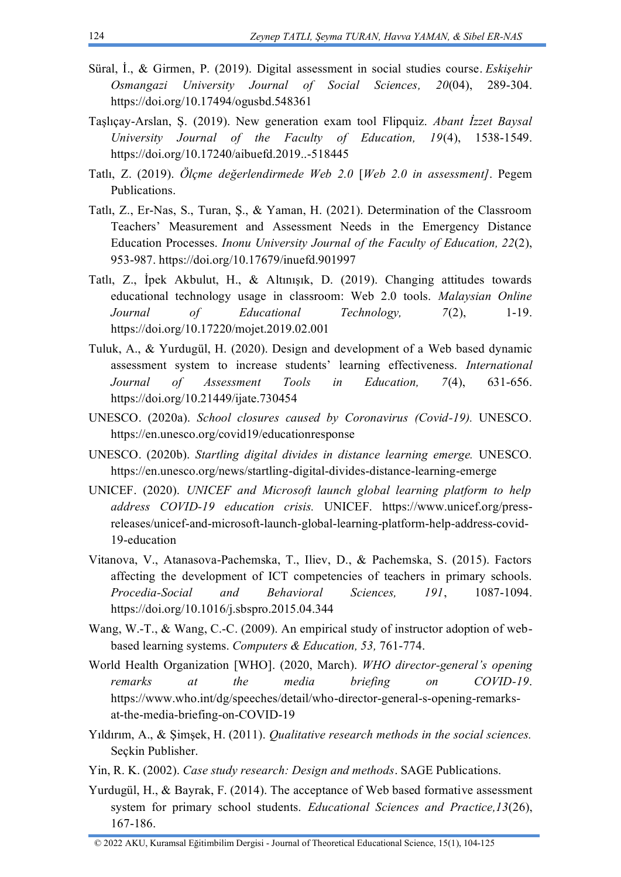- Süral, İ., & Girmen, P. (2019). Digital assessment in social studies course. *Eskişehir Osmangazi University Journal of Social Sciences, 20*(04), 289-304. https://doi.org/10.17494/ogusbd.548361
- Taşlıçay-Arslan, Ș. (2019). New generation exam tool Flipquiz. *Abant İzzet Baysal University Journal of the Faculty of Education, 19*(4), 1538-1549. https://doi.org/10.17240/aibuefd.2019..-518445
- Tatlı, Z. (2019). *Ölçme değerlendirmede Web 2.0* [*Web 2.0 in assessment]*. Pegem Publications.
- Tatlı, Z., Er-Nas, S., Turan, Ş., & Yaman, H. (2021). Determination of the Classroom Teachers' Measurement and Assessment Needs in the Emergency Distance Education Processes. *Inonu University Journal of the Faculty of Education, 22*(2), 953-987. https://doi.org/10.17679/inuefd.901997
- Tatlı, Z., İpek Akbulut, H., & Altınışık, D. (2019). Changing attitudes towards educational technology usage in classroom: Web 2.0 tools. *Malaysian Online Journal of Educational Technology, 7*(2), 1-19. https://doi.org/10.17220/mojet.2019.02.001
- Tuluk, A., & Yurdugül, H. (2020). Design and development of a Web based dynamic assessment system to increase students' learning effectiveness. *International Journal of Assessment Tools in Education, 7*(4), 631-656. https://doi.org/10.21449/ijate.730454
- UNESCO. (2020a). *School closures caused by Coronavirus (Covid-19).* UNESCO. <https://en.unesco.org/covid19/educationresponse>
- UNESCO. (2020b). *Startling digital divides in distance learning emerge.* UNESCO. <https://en.unesco.org/news/startling-digital-divides-distance-learning-emerge>
- UNICEF. (2020). *UNICEF and Microsoft launch global learning platform to help address COVID-19 education crisis.* UNICEF. [https://www.unicef.org/press](https://www.unicef.org/press-releases/unicef-and-microsoft-launch-global-learning-platform-help-address-covid-19-education)[releases/unicef-and-microsoft-launch-global-learning-platform-help-address-covid-](https://www.unicef.org/press-releases/unicef-and-microsoft-launch-global-learning-platform-help-address-covid-19-education)[19-education](https://www.unicef.org/press-releases/unicef-and-microsoft-launch-global-learning-platform-help-address-covid-19-education)
- Vitanova, V., Atanasova-Pachemska, T., Iliev, D., & Pachemska, S. (2015). Factors affecting the development of ICT competencies of teachers in primary schools. *Procedia-Social and Behavioral Sciences, 191*, 1087-1094. https://doi.org/10.1016/j.sbspro.2015.04.344
- Wang, W.-T., & Wang, C.-C. (2009). An empirical study of instructor adoption of webbased learning systems. *Computers & Education, 53,* 761-774.
- World Health Organization [WHO]. (2020, March). *WHO director-general's opening remarks at the media briefing on COVID-19*. [https://www.who.int/dg/speeches/detail/who-director-general-s-opening-remarks](https://www.who.int/dg/speeches/detail/who-director-general-s-opening-remarks-at-the-media-briefing-on-COVID-19)[at-the-media-briefing-on-COVID-19](https://www.who.int/dg/speeches/detail/who-director-general-s-opening-remarks-at-the-media-briefing-on-COVID-19)
- Yıldırım, A., & Şimşek, H. (2011). *Qualitative research methods in the social sciences.*  Seçkin Publisher.
- Yin, R. K. (2002). *Case study research: Design and methods*. SAGE Publications.
- Yurdugül, H., & Bayrak, F. (2014). The acceptance of Web based formative assessment system for primary school students. *Educational Sciences and Practice,13*(26), 167-186.